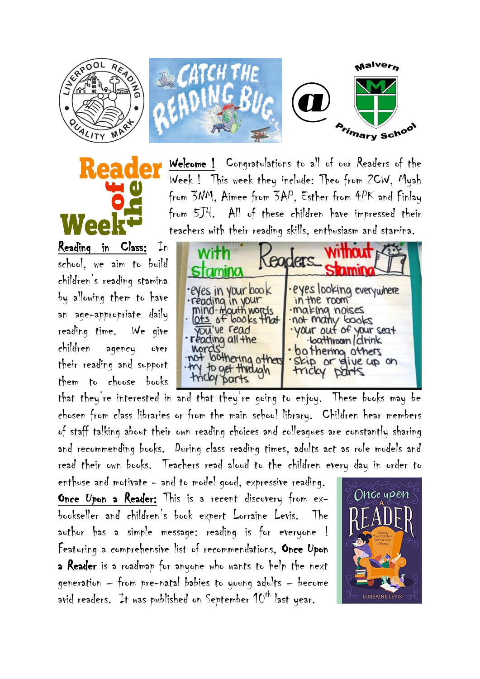



Welcome ! Congratulations to all of our Readers of the Week ! This week they include: Theo from 2CW, Myah from 3NM, Aimee from 3AP, Esther from 4PK and Finlay from 5JH. All of these children have impressed their teachers with their reading skills, enthusiasm and stamina.

@

Malvern

**Arimary School** 

Reading in Class: In school, we aim to build children's reading stamina by allowing them to have an age-appropriate daily reading time. We give children agency over their reading and support them to choose books

 $\int \tan \theta$ Cooder Pyes in your book<br>reading in your<br>mind-mouth words<br><u>lots</u> of books that eyes looking everywhere in the room .making noises<br>.not many books<br>.your out of your seat Fedding all the ·loathroom/drink nords<br>
not lookering other<br>
that through<br>
that parts bothering others<br>Skip or give up on tricky parts

that they're interested in and that they're going to enjoy. These books may be chosen from class libraries or from the main school library. Children hear members of staff talking about their own reading choices and colleagues are constantly sharing and recommending books. During class reading times, adults act as role models and read their own books. Teachers read aloud to the children every day in order to

enthuse and motivate - and to model good, expressive reading. Once Upon a Reader: This is a recent discovery from exbookseller and children's book expert Lorraine Levis. The author has a simple message: reading is for everyone ! Featuring a comprehensive list of recommendations, Once Upon a Reader is a roadmap for anyone who wants to help the next generation – from pre-natal babies to young adults – become avid readers. It was published on September 10<sup>th</sup> last year.